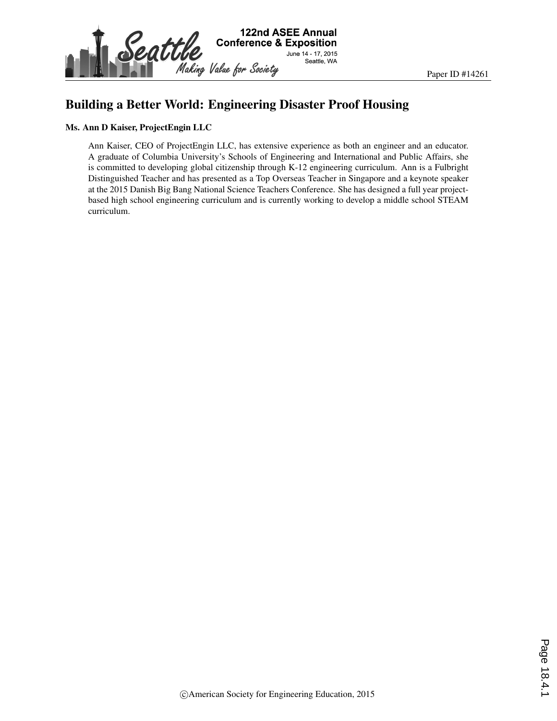

#### Building a Better World: Engineering Disaster Proof Housing

#### Ms. Ann D Kaiser, ProjectEngin LLC

Ann Kaiser, CEO of ProjectEngin LLC, has extensive experience as both an engineer and an educator. A graduate of Columbia University's Schools of Engineering and International and Public Affairs, she is committed to developing global citizenship through K-12 engineering curriculum. Ann is a Fulbright Distinguished Teacher and has presented as a Top Overseas Teacher in Singapore and a keynote speaker at the 2015 Danish Big Bang National Science Teachers Conference. She has designed a full year projectbased high school engineering curriculum and is currently working to develop a middle school STEAM curriculum.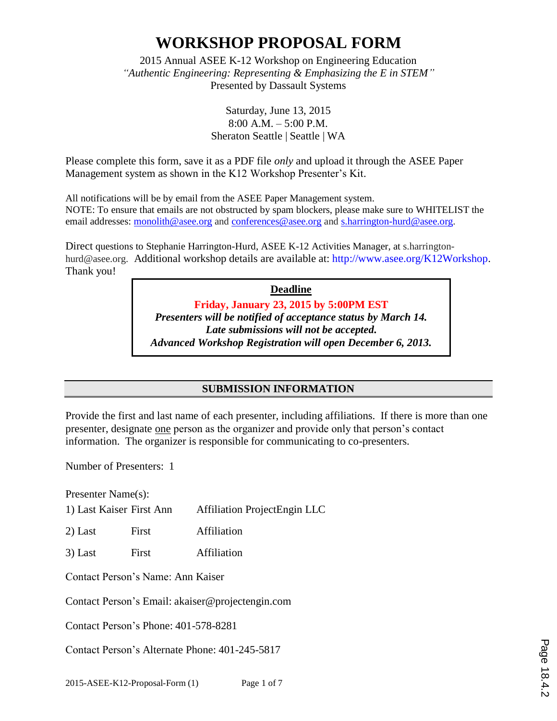2015 Annual ASEE K-12 Workshop on Engineering Education *"Authentic Engineering: Representing & Emphasizing the E in STEM"* Presented by Dassault Systems

> Saturday, June 13, 2015 8:00 A.M. – 5:00 P.M. Sheraton Seattle | Seattle | WA

Please complete this form, save it as a PDF file *only* and upload it through the ASEE Paper Management system as shown in the K12 Workshop Presenter's Kit.

All notifications will be by email from the ASEE Paper Management system. NOTE: To ensure that emails are not obstructed by spam blockers, please make sure to WHITELIST the email addresses: monolith@asee.org and conferences@asee.org and s.harrington-hurd@asee.org.

Direct questions to Stephanie Harrington-Hurd, ASEE K-12 Activities Manager, at s.harringtonhurd@asee.org. Additional workshop details are available at: http://www.asee.org/K12Workshop. Thank you!

> **Deadline Friday, January 23, 2015 by 5:00PM EST** *Presenters will be notified of acceptance status by March 14. Late submissions will not be accepted. Advanced Workshop Registration will open December 6, 2013.*

#### **SUBMISSION INFORMATION**

Provide the first and last name of each presenter, including affiliations. If there is more than one presenter, designate one person as the organizer and provide only that person's contact information. The organizer is responsible for communicating to co-presenters.

Number of Presenters: 1

Presenter Name(s):

1) Last Kaiser First Ann Affiliation ProjectEngin LLC

2) Last First Affiliation

3) Last First Affiliation

Contact Person's Name: Ann Kaiser

Contact Person's Email: akaiser@projectengin.com

Contact Person's Phone: 401-578-8281

Contact Person's Alternate Phone: 401-245-5817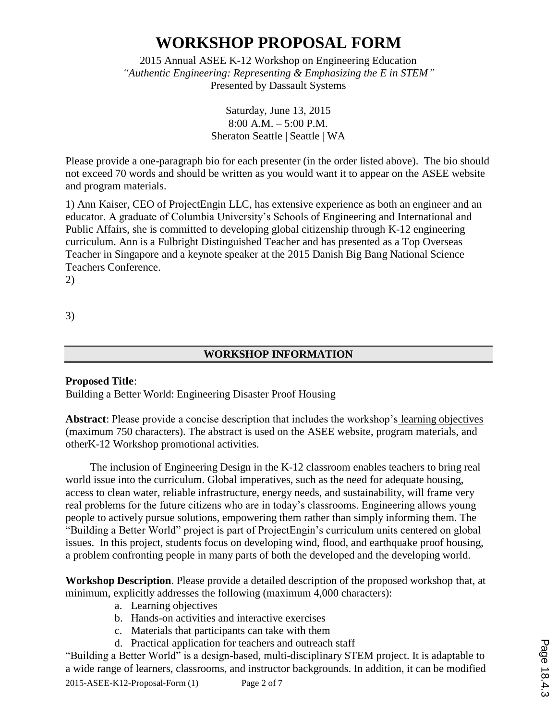2015 Annual ASEE K-12 Workshop on Engineering Education *"Authentic Engineering: Representing & Emphasizing the E in STEM"* Presented by Dassault Systems

> Saturday, June 13, 2015 8:00 A.M. – 5:00 P.M. Sheraton Seattle | Seattle | WA

Please provide a one-paragraph bio for each presenter (in the order listed above). The bio should not exceed 70 words and should be written as you would want it to appear on the ASEE website and program materials.

1) Ann Kaiser, CEO of ProjectEngin LLC, has extensive experience as both an engineer and an educator. A graduate of Columbia University's Schools of Engineering and International and Public Affairs, she is committed to developing global citizenship through K-12 engineering curriculum. Ann is a Fulbright Distinguished Teacher and has presented as a Top Overseas Teacher in Singapore and a keynote speaker at the 2015 Danish Big Bang National Science Teachers Conference.

2)

3)

#### **WORKSHOP INFORMATION**

#### **Proposed Title**:

Building a Better World: Engineering Disaster Proof Housing

**Abstract**: Please provide a concise description that includes the workshop's learning objectives (maximum 750 characters). The abstract is used on the ASEE website, program materials, and otherK-12 Workshop promotional activities.

The inclusion of Engineering Design in the K-12 classroom enables teachers to bring real world issue into the curriculum. Global imperatives, such as the need for adequate housing, access to clean water, reliable infrastructure, energy needs, and sustainability, will frame very real problems for the future citizens who are in today's classrooms. Engineering allows young people to actively pursue solutions, empowering them rather than simply informing them. The "Building a Better World" project is part of ProjectEngin's curriculum units centered on global issues. In this project, students focus on developing wind, flood, and earthquake proof housing, a problem confronting people in many parts of both the developed and the developing world.

**Workshop Description**. Please provide a detailed description of the proposed workshop that, at minimum, explicitly addresses the following (maximum 4,000 characters):

- a. Learning objectives
- b. Hands-on activities and interactive exercises
- c. Materials that participants can take with them
- d. Practical application for teachers and outreach staff

"Building a Better World" is a design-based, multi-disciplinary STEM project. It is adaptable to a wide range of learners, classrooms, and instructor backgrounds. In addition, it can be modified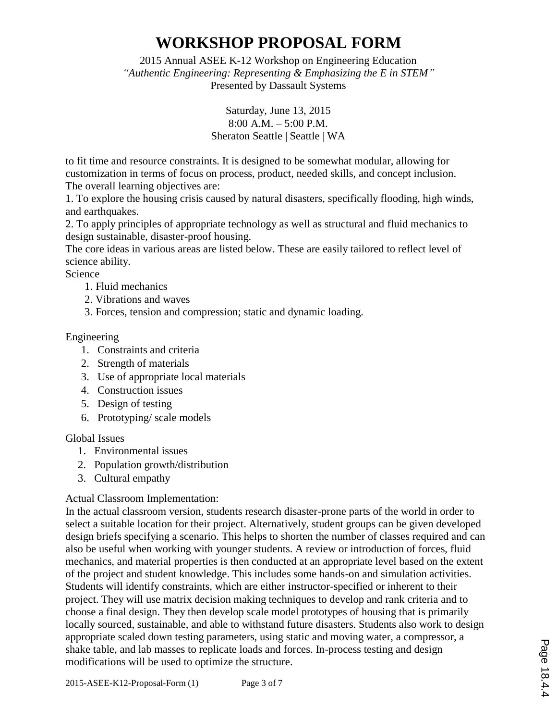2015 Annual ASEE K-12 Workshop on Engineering Education *"Authentic Engineering: Representing & Emphasizing the E in STEM"* Presented by Dassault Systems

> Saturday, June 13, 2015 8:00 A.M. – 5:00 P.M. Sheraton Seattle | Seattle | WA

to fit time and resource constraints. It is designed to be somewhat modular, allowing for customization in terms of focus on process, product, needed skills, and concept inclusion. The overall learning objectives are:

1. To explore the housing crisis caused by natural disasters, specifically flooding, high winds, and earthquakes.

2. To apply principles of appropriate technology as well as structural and fluid mechanics to design sustainable, disaster-proof housing.

The core ideas in various areas are listed below. These are easily tailored to reflect level of science ability.

Science

- 1. Fluid mechanics
- 2. Vibrations and waves
- 3. Forces, tension and compression; static and dynamic loading.

Engineering

- 1. Constraints and criteria
- 2. Strength of materials
- 3. Use of appropriate local materials
- 4. Construction issues
- 5. Design of testing
- 6. Prototyping/ scale models

Global Issues

- 1. Environmental issues
- 2. Population growth/distribution
- 3. Cultural empathy

#### Actual Classroom Implementation:

In the actual classroom version, students research disaster-prone parts of the world in order to select a suitable location for their project. Alternatively, student groups can be given developed design briefs specifying a scenario. This helps to shorten the number of classes required and can also be useful when working with younger students. A review or introduction of forces, fluid mechanics, and material properties is then conducted at an appropriate level based on the extent of the project and student knowledge. This includes some hands-on and simulation activities. Students will identify constraints, which are either instructor-specified or inherent to their project. They will use matrix decision making techniques to develop and rank criteria and to choose a final design. They then develop scale model prototypes of housing that is primarily locally sourced, sustainable, and able to withstand future disasters. Students also work to design appropriate scaled down testing parameters, using static and moving water, a compressor, a shake table, and lab masses to replicate loads and forces. In-process testing and design modifications will be used to optimize the structure.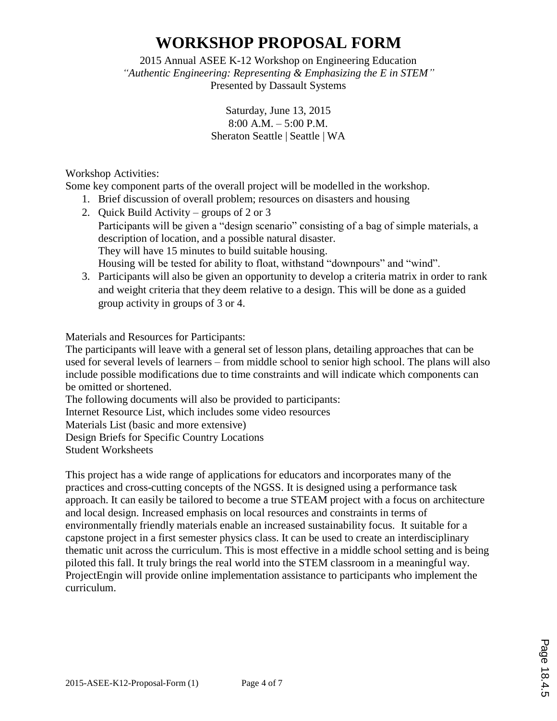2015 Annual ASEE K-12 Workshop on Engineering Education *"Authentic Engineering: Representing & Emphasizing the E in STEM"* Presented by Dassault Systems

> Saturday, June 13, 2015 8:00 A.M. – 5:00 P.M. Sheraton Seattle | Seattle | WA

Workshop Activities:

Some key component parts of the overall project will be modelled in the workshop.

- 1. Brief discussion of overall problem; resources on disasters and housing
- 2. Quick Build Activity groups of 2 or 3 Participants will be given a "design scenario" consisting of a bag of simple materials, a description of location, and a possible natural disaster. They will have 15 minutes to build suitable housing. Housing will be tested for ability to float, withstand "downpours" and "wind".
- 3. Participants will also be given an opportunity to develop a criteria matrix in order to rank and weight criteria that they deem relative to a design. This will be done as a guided group activity in groups of 3 or 4.

Materials and Resources for Participants:

The participants will leave with a general set of lesson plans, detailing approaches that can be used for several levels of learners – from middle school to senior high school. The plans will also include possible modifications due to time constraints and will indicate which components can be omitted or shortened.

The following documents will also be provided to participants:

Internet Resource List, which includes some video resources

Materials List (basic and more extensive)

Design Briefs for Specific Country Locations

Student Worksheets

This project has a wide range of applications for educators and incorporates many of the practices and cross-cutting concepts of the NGSS. It is designed using a performance task approach. It can easily be tailored to become a true STEAM project with a focus on architecture and local design. Increased emphasis on local resources and constraints in terms of environmentally friendly materials enable an increased sustainability focus. It suitable for a capstone project in a first semester physics class. It can be used to create an interdisciplinary thematic unit across the curriculum. This is most effective in a middle school setting and is being piloted this fall. It truly brings the real world into the STEM classroom in a meaningful way. ProjectEngin will provide online implementation assistance to participants who implement the curriculum.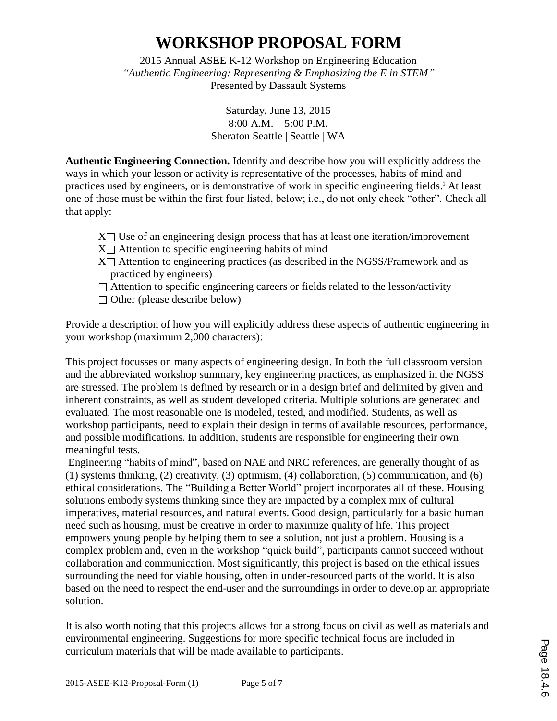2015 Annual ASEE K-12 Workshop on Engineering Education *"Authentic Engineering: Representing & Emphasizing the E in STEM"* Presented by Dassault Systems

> Saturday, June 13, 2015 8:00 A.M. – 5:00 P.M. Sheraton Seattle | Seattle | WA

**Authentic Engineering Connection.** Identify and describe how you will explicitly address the ways in which your lesson or activity is representative of the processes, habits of mind and practices used by engineers, or is demonstrative of work in specific engineering fields.<sup>i</sup> At least one of those must be within the first four listed, below; i.e., do not only check "other". Check all that apply:

- $X \cap U$  Use of an engineering design process that has at least one iteration/improvement  $X \cap$  Attention to specific engineering habits of mind
- $X \cap$  Attention to engineering practices (as described in the NGSS/Framework and as practiced by engineers)
- $\Box$  Attention to specific engineering careers or fields related to the lesson/activity
- $\Box$  Other (please describe below)

Provide a description of how you will explicitly address these aspects of authentic engineering in your workshop (maximum 2,000 characters):

This project focusses on many aspects of engineering design. In both the full classroom version and the abbreviated workshop summary, key engineering practices, as emphasized in the NGSS are stressed. The problem is defined by research or in a design brief and delimited by given and inherent constraints, as well as student developed criteria. Multiple solutions are generated and evaluated. The most reasonable one is modeled, tested, and modified. Students, as well as workshop participants, need to explain their design in terms of available resources, performance, and possible modifications. In addition, students are responsible for engineering their own meaningful tests.

Engineering "habits of mind", based on NAE and NRC references, are generally thought of as (1) systems thinking, (2) creativity, (3) optimism, (4) collaboration, (5) communication, and (6) ethical considerations. The "Building a Better World" project incorporates all of these. Housing solutions embody systems thinking since they are impacted by a complex mix of cultural imperatives, material resources, and natural events. Good design, particularly for a basic human need such as housing, must be creative in order to maximize quality of life. This project empowers young people by helping them to see a solution, not just a problem. Housing is a complex problem and, even in the workshop "quick build", participants cannot succeed without collaboration and communication. Most significantly, this project is based on the ethical issues surrounding the need for viable housing, often in under-resourced parts of the world. It is also based on the need to respect the end-user and the surroundings in order to develop an appropriate solution.

It is also worth noting that this projects allows for a strong focus on civil as well as materials and environmental engineering. Suggestions for more specific technical focus are included in curriculum materials that will be made available to participants.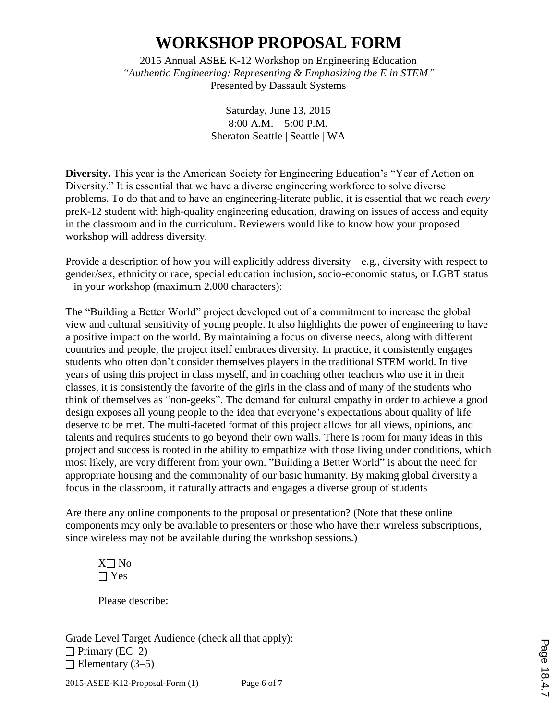2015 Annual ASEE K-12 Workshop on Engineering Education *"Authentic Engineering: Representing & Emphasizing the E in STEM"* Presented by Dassault Systems

> Saturday, June 13, 2015 8:00 A.M. – 5:00 P.M. Sheraton Seattle | Seattle | WA

**Diversity.** This year is the American Society for Engineering Education's "Year of Action on Diversity." It is essential that we have a diverse engineering workforce to solve diverse problems. To do that and to have an engineering-literate public, it is essential that we reach *every* preK-12 student with high-quality engineering education, drawing on issues of access and equity in the classroom and in the curriculum. Reviewers would like to know how your proposed workshop will address diversity.

Provide a description of how you will explicitly address diversity – e.g., diversity with respect to gender/sex, ethnicity or race, special education inclusion, socio-economic status, or LGBT status – in your workshop (maximum 2,000 characters):

The "Building a Better World" project developed out of a commitment to increase the global view and cultural sensitivity of young people. It also highlights the power of engineering to have a positive impact on the world. By maintaining a focus on diverse needs, along with different countries and people, the project itself embraces diversity. In practice, it consistently engages students who often don't consider themselves players in the traditional STEM world. In five years of using this project in class myself, and in coaching other teachers who use it in their classes, it is consistently the favorite of the girls in the class and of many of the students who think of themselves as "non-geeks". The demand for cultural empathy in order to achieve a good design exposes all young people to the idea that everyone's expectations about quality of life deserve to be met. The multi-faceted format of this project allows for all views, opinions, and talents and requires students to go beyond their own walls. There is room for many ideas in this project and success is rooted in the ability to empathize with those living under conditions, which most likely, are very different from your own. "Building a Better World" is about the need for appropriate housing and the commonality of our basic humanity. By making global diversity a focus in the classroom, it naturally attracts and engages a diverse group of students

Are there any online components to the proposal or presentation? (Note that these online components may only be available to presenters or those who have their wireless subscriptions, since wireless may not be available during the workshop sessions.)

 $X \cap No$  $\Box$  Yes

Please describe:

Grade Level Target Audience (check all that apply):  $\Box$  Primary (EC–2)  $\Box$  Elementary (3–5)

2015-ASEE-K12-Proposal-Form (1) Page 6 of 7